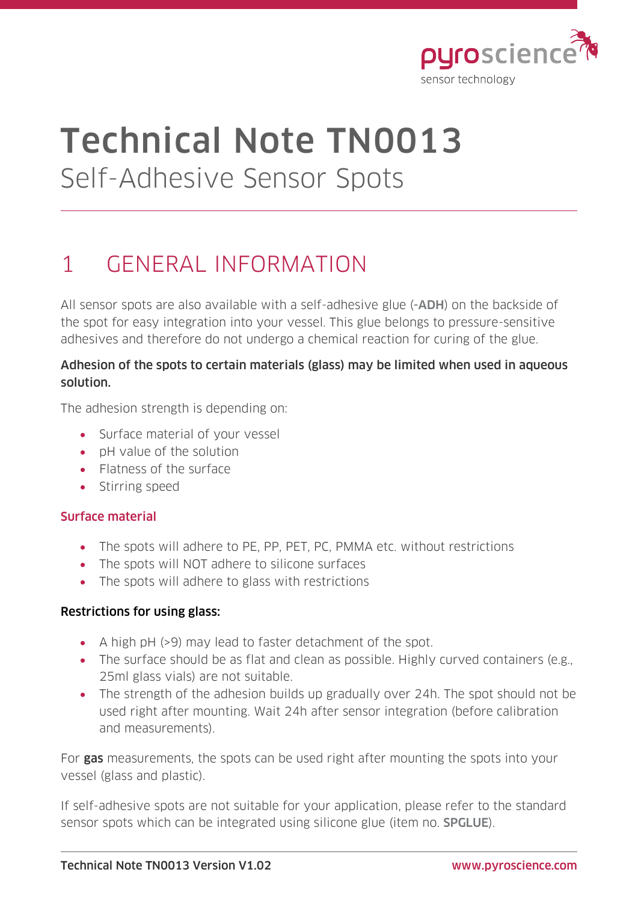

# Technical Note TN0013 Self-Adhesive Sensor Spots

# 1 GENERAL INFORMATION

All sensor spots are also available with a self-adhesive glue (-ADH) on the backside of the spot for easy integration into your vessel. This glue belongs to pressure-sensitive adhesives and therefore do not undergo a chemical reaction for curing of the glue.

### Adhesion of the spots to certain materials (glass) may be limited when used in aqueous solution.

The adhesion strength is depending on:

- Surface material of your vessel
- pH value of the solution
- Flatness of the surface
- Stirring speed

# Surface material

- The spots will adhere to PE, PP, PET, PC, PMMA etc. without restrictions
- The spots will NOT adhere to silicone surfaces
- The spots will adhere to glass with restrictions

#### Restrictions for using glass:

- A high pH (>9) may lead to faster detachment of the spot.
- The surface should be as flat and clean as possible. Highly curved containers (e.g., 25ml glass vials) are not suitable.
- The strength of the adhesion builds up gradually over 24h. The spot should not be used right after mounting. Wait 24h after sensor integration (before calibration and measurements).

For gas measurements, the spots can be used right after mounting the spots into your vessel (glass and plastic).

If self-adhesive spots are not suitable for your application, please refer to the standard sensor spots which can be integrated using silicone glue (item no. SPGLUE).